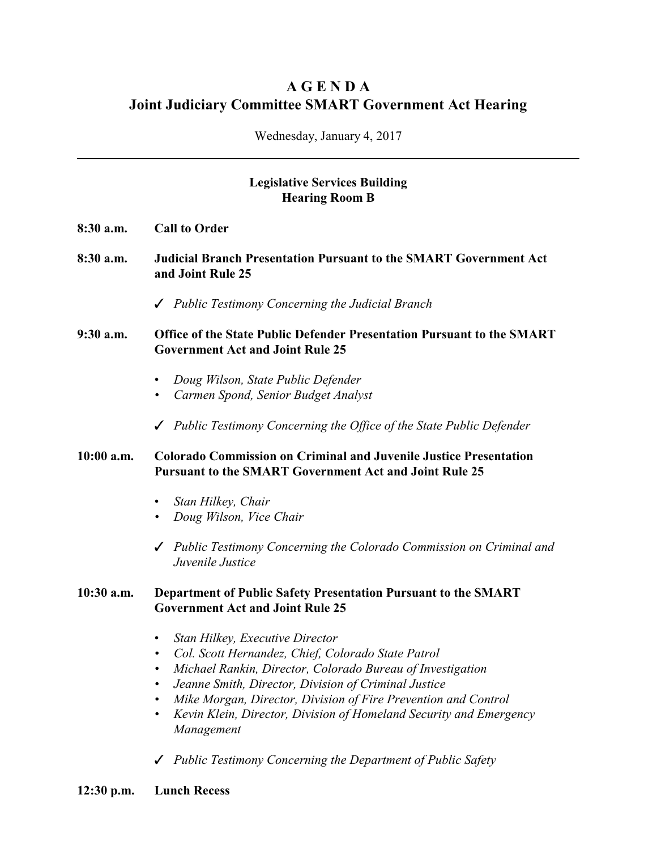# **A G E N D A Joint Judiciary Committee SMART Government Act Hearing**

Wednesday, January 4, 2017

# **Legislative Services Building Hearing Room B**

- **8:30 a.m. Call to Order**
- **8:30 a.m. Judicial Branch Presentation Pursuant to the SMART Government Act and Joint Rule 25**
	- T *Public Testimony Concerning the Judicial Branch*
- **9:30 a.m. Office of the State Public Defender Presentation Pursuant to the SMART Government Act and Joint Rule 25**
	- *Doug Wilson, State Public Defender*
	- *• Carmen Spond, Senior Budget Analyst*
	- T *Public Testimony Concerning the Office of the State Public Defender*

### **10:00 a.m. Colorado Commission on Criminal and Juvenile Justice Presentation Pursuant to the SMART Government Act and Joint Rule 25**

- *Stan Hilkey, Chair*
- *• Doug Wilson, Vice Chair*
- T *Public Testimony Concerning the Colorado Commission on Criminal and Juvenile Justice*

### **10:30 a.m. Department of Public Safety Presentation Pursuant to the SMART Government Act and Joint Rule 25**

- *Stan Hilkey, Executive Director*
- *• Col. Scott Hernandez, Chief, Colorado State Patrol*
- *• Michael Rankin, Director, Colorado Bureau of Investigation*
- *• Jeanne Smith, Director, Division of Criminal Justice*
- *• Mike Morgan, Director, Division of Fire Prevention and Control*
- *• Kevin Klein, Director, Division of Homeland Security and Emergency Management*
- T *Public Testimony Concerning the Department of Public Safety*
- **12:30 p.m. Lunch Recess**